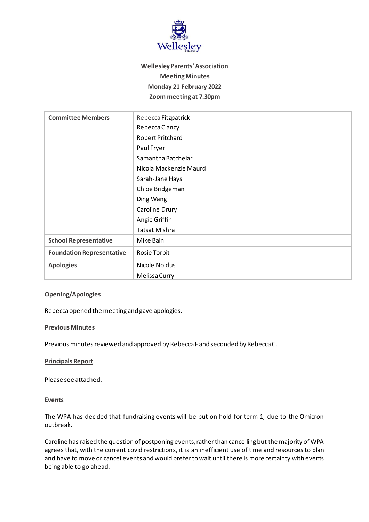

# **Wellesley Parents' Association Meeting Minutes Monday 21 February 2022 Zoom meeting at 7.30pm**

| <b>Committee Members</b>         | Rebecca Fitzpatrick     |
|----------------------------------|-------------------------|
|                                  | Rebecca Clancy          |
|                                  | <b>Robert Pritchard</b> |
|                                  | Paul Fryer              |
|                                  | Samantha Batchelar      |
|                                  | Nicola Mackenzie Maurd  |
|                                  | Sarah-Jane Hays         |
|                                  | Chloe Bridgeman         |
|                                  | Ding Wang               |
|                                  | Caroline Drury          |
|                                  | Angie Griffin           |
|                                  | <b>Tatsat Mishra</b>    |
| <b>School Representative</b>     | Mike Bain               |
| <b>Foundation Representative</b> | Rosie Torbit            |
| <b>Apologies</b>                 | Nicole Noldus           |
|                                  | Melissa Curry           |

### **Opening/Apologies**

Rebecca opened the meeting and gave apologies.

#### **Previous Minutes**

Previous minutes reviewed and approved by Rebecca F and seconded by Rebecca C.

#### **Principals Report**

Please see attached.

#### **Events**

The WPA has decided that fundraising events will be put on hold for term 1, due to the Omicron outbreak.

Caroline has raised the question of postponing events, rather than cancelling but the majority of WPA agrees that, with the current covid restrictions, it is an inefficient use of time and resources to plan and have to move or cancel events and would prefer to wait until there is more certainty with events being able to go ahead.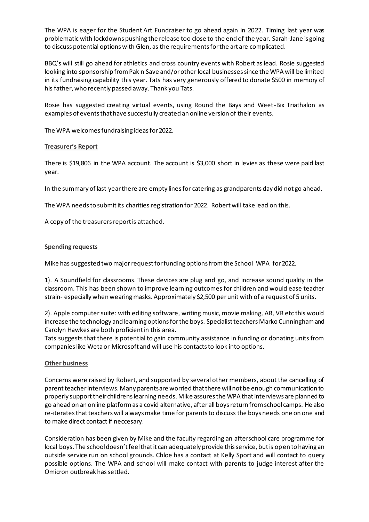The WPA is eager for the Student Art Fundraiser to go ahead again in 2022. Timing last year was problematic with lockdowns pushing the release too close to the end of the year. Sarah-Jane is going to discuss potential options with Glen, as the requirements for the art are complicated.

BBQ's will still go ahead for athletics and cross country events with Robert as lead. Rosie suggested looking into sponsorship from Pak n Save and/or other local businesses since the WPA will be limited in its fundraising capability this year. Tats has very generously offered to donate \$500 in memory of his father, who recently passed away. Thank you Tats.

Rosie has suggested creating virtual events, using Round the Bays and Weet-Bix Triathalon as examples of events that have succesfully created an online version of their events.

The WPA welcomes fundraising ideas for 2022.

## **Treasurer's Report**

There is \$19,806 in the WPA account. The account is \$3,000 short in levies as these were paid last year.

In the summary of last year there are empty lines for catering as grandparents day did not go ahead.

The WPA needs to submit its charities registration for 2022. Robert will take lead on this.

A copy of the treasurers report is attached.

## **Spending requests**

Mike has suggested two major request for funding optionsfrom the School WPA for 2022.

1). A Soundfield for classrooms. These devices are plug and go, and increase sound quality in the classroom. This has been shown to improve learning outcomes for children and would ease teacher strain- especially when wearing masks. Approximately \$2,500 per unit with of a request of 5 units.

2). Apple computer suite: with editing software, writing music, movie making, AR, VR etc this would increase the technology and learning options for the boys. Specialist teachers Marko Cunningham and Carolyn Hawkes are both proficient in this area.

Tats suggests that there is potential to gain community assistance in funding or donating units from companies like Weta or Microsoft and will use his contacts to look into options.

#### **Other business**

Concerns were raised by Robert, and supported by several other members, about the cancelling of parent teacher interviews. Many parents are worried that there will not be enough communication to properly support their childrens learning needs. Mike assures the WPA that interviews are planned to go ahead on an online platform as a covid alternative, after all boys return from school camps. He also re-iterates that teachers will always make time for parents to discuss the boys needs one on one and to make direct contact if neccesary.

Consideration has been given by Mike and the faculty regarding an afterschool care programme for local boys. The school doesn't feel that it can adequately provide this service, but is open to having an outside service run on school grounds. Chloe has a contact at Kelly Sport and will contact to query possible options. The WPA and school will make contact with parents to judge interest after the Omicron outbreak has settled.